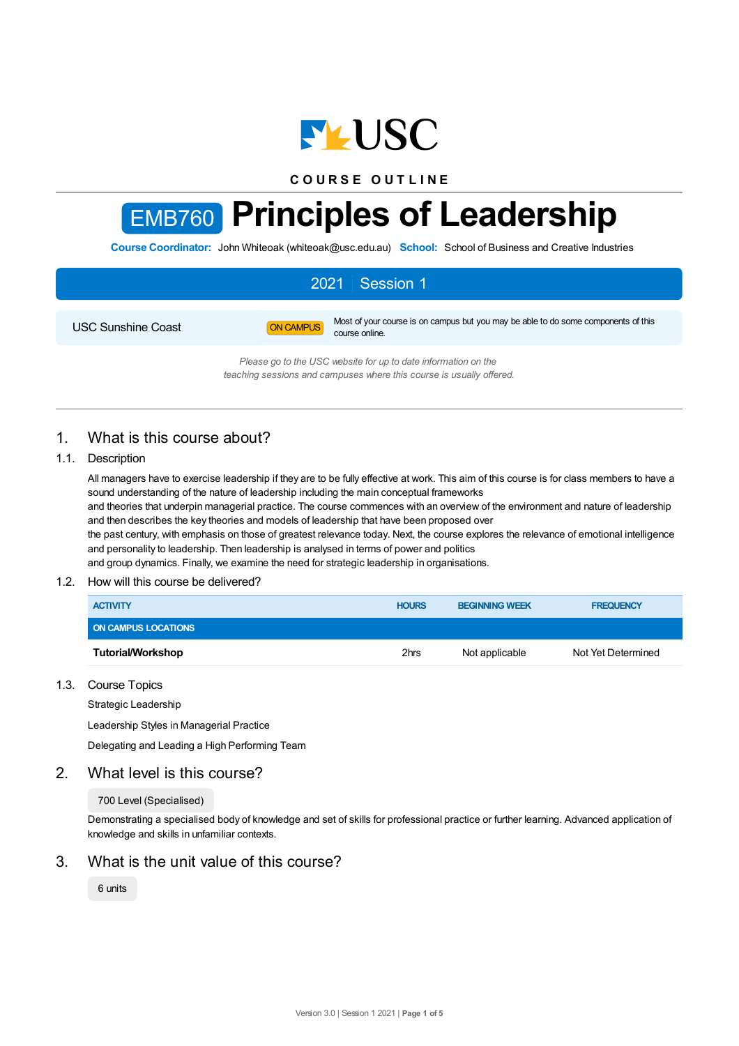

**C O U R S E O U T L I N E**

# EMB760 **Principles of Leadership**

**Course Coordinator:** John Whiteoak (whiteoak@usc.edu.au) **School:** School of Business and Creative Industries

## 2021 Session 1 USC Sunshine Coast **ON CAMPUS** Most of your course is on campus but you may be able to do some components of this course online. *Please go to the USC website for up to date information on the*

*teaching sessions and campuses where this course is usually offered.*

## 1. What is this course about?

## 1.1. Description

All managers have to exercise leadership if they are to be fully effective at work. This aim of this course is for class members to have a sound understanding of the nature of leadership including the main conceptual frameworks

and theories that underpin managerial practice. The course commences with an overview of the environment and nature of leadership and then describes the key theories and models of leadership that have been proposed over

the past century, with emphasis on those of greatest relevance today. Next, the course explores the relevance of emotional intelligence and personality to leadership. Then leadership is analysed in terms of power and politics

and group dynamics. Finally, we examine the need for strategic leadership in organisations.

## 1.2. How will this course be delivered?

| <b>ACTIVITY</b>            | <b>HOURS</b> | <b>BEGINNING WEEK</b> | <b>FREQUENCY</b>   |
|----------------------------|--------------|-----------------------|--------------------|
| <b>ON CAMPUS LOCATIONS</b> |              |                       |                    |
| <b>Tutorial/Workshop</b>   | 2hrs         | Not applicable        | Not Yet Determined |

## 1.3. Course Topics

Strategic Leadership

Leadership Styles in Managerial Practice

Delegating and Leading a High Performing Team

## 2. What level is this course?

#### 700 Level (Specialised)

Demonstrating a specialised body of knowledge and set of skills for professional practice or further learning. Advanced application of knowledge and skills in unfamiliar contexts.

## 3. What is the unit value of this course?

6 units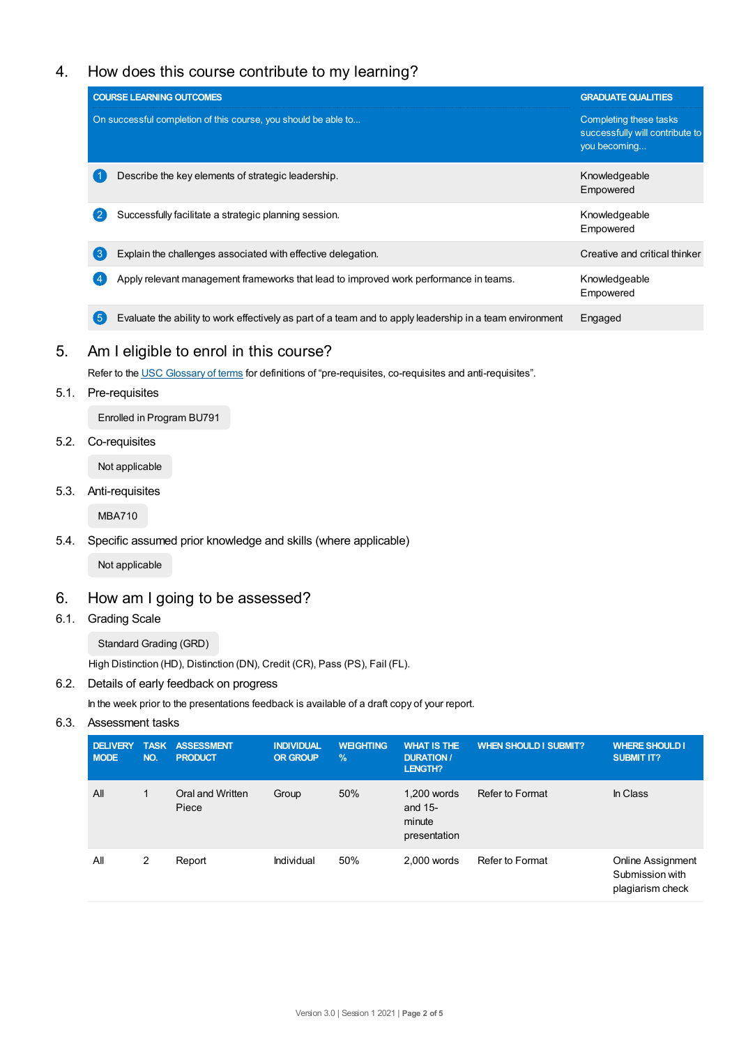## 4. How does this course contribute to my learning?

|            | <b>COURSE LEARNING OUTCOMES</b>                                                                          | <b>GRADUATE QUALITIES</b>                                                 |
|------------|----------------------------------------------------------------------------------------------------------|---------------------------------------------------------------------------|
|            | On successful completion of this course, you should be able to                                           | Completing these tasks<br>successfully will contribute to<br>you becoming |
|            | Describe the key elements of strategic leadership.                                                       | Knowledgeable<br>Empowered                                                |
|            | Successfully facilitate a strategic planning session.                                                    | Knowledgeable<br>Empowered                                                |
| ΄3         | Explain the challenges associated with effective delegation.                                             | Creative and critical thinker                                             |
|            | Apply relevant management frameworks that lead to improved work performance in teams.                    | Knowledgeable<br>Empowered                                                |
| $\sqrt{5}$ | Evaluate the ability to work effectively as part of a team and to apply leadership in a team environment | Engaged                                                                   |

## 5. Am I eligible to enrol in this course?

Refer to the USC [Glossary](https://www.usc.edu.au/about/policies-and-procedures/glossary-of-terms-for-policy-and-procedures) of terms for definitions of "pre-requisites, co-requisites and anti-requisites".

5.1. Pre-requisites

Enrolled in Program BU791

5.2. Co-requisites

Not applicable

5.3. Anti-requisites

MBA710

5.4. Specific assumed prior knowledge and skills (where applicable)

Not applicable

## 6. How am I going to be assessed?

6.1. Grading Scale

Standard Grading (GRD)

High Distinction (HD), Distinction (DN), Credit (CR), Pass (PS), Fail (FL).

6.2. Details of early feedback on progress

In the week prior to the presentations feedback is available of a draft copy of your report.

6.3. Assessment tasks

| <b>DELIVERY</b><br><b>MODE</b> | NO. | <b>TASK ASSESSMENT</b><br><b>PRODUCT</b> | <b>INDIVIDUAL</b><br>OR GROUP | <b>WEIGHTING</b><br>$\frac{9}{6}$ | <b>WHAT IS THE</b><br><b>DURATION /</b><br><b>LENGTH?</b> | <b>WHEN SHOULD I SUBMIT?</b> | <b>WHERE SHOULD I</b><br><b>SUBMIT IT?</b>                      |
|--------------------------------|-----|------------------------------------------|-------------------------------|-----------------------------------|-----------------------------------------------------------|------------------------------|-----------------------------------------------------------------|
| All                            | 1   | Oral and Written<br>Piece                | Group                         | 50%                               | 1,200 words<br>and $15-$<br>minute<br>presentation        | Refer to Format              | In Class                                                        |
| All                            | 2   | Report                                   | Individual                    | 50%                               | $2.000$ words                                             | Refer to Format              | <b>Online Assignment</b><br>Submission with<br>plagiarism check |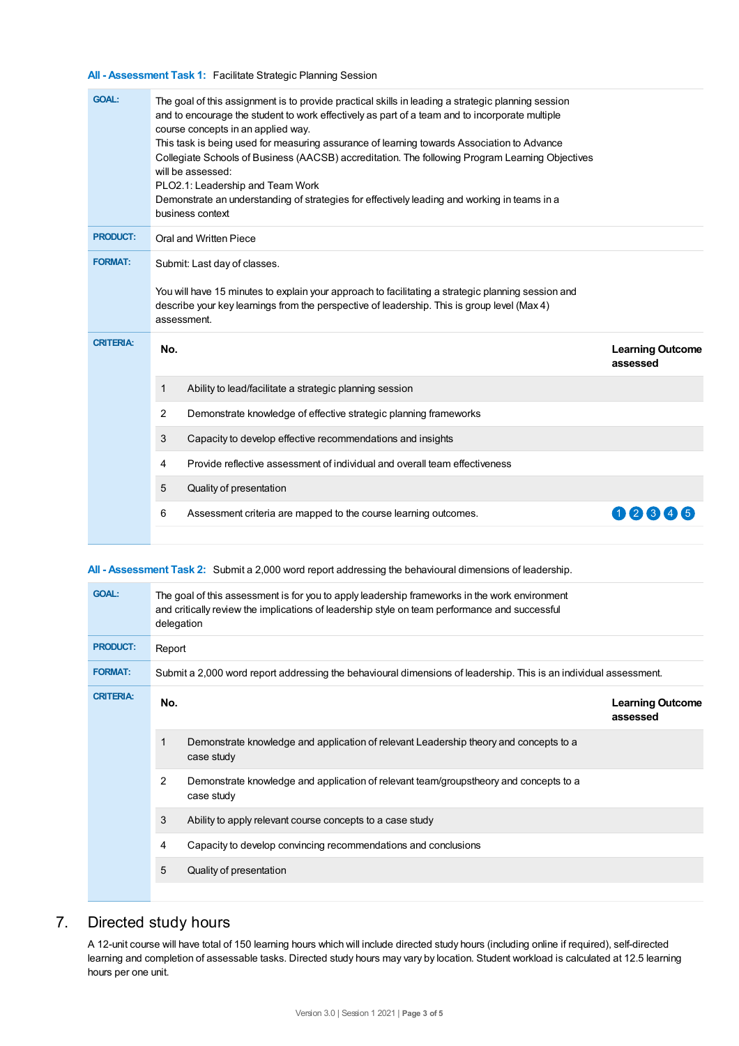#### **All - Assessment Task 1:** Facilitate Strategic Planning Session

| <b>GOAL:</b><br>The goal of this assignment is to provide practical skills in leading a strategic planning session<br>and to encourage the student to work effectively as part of a team and to incorporate multiple<br>course concepts in an applied way.<br>This task is being used for measuring assurance of learning towards Association to Advance<br>Collegiate Schools of Business (AACSB) accreditation. The following Program Learning Objectives<br>will be assessed:<br>PLO2.1: Leadership and Team Work<br>Demonstrate an understanding of strategies for effectively leading and working in teams in a<br>business context |                         |
|------------------------------------------------------------------------------------------------------------------------------------------------------------------------------------------------------------------------------------------------------------------------------------------------------------------------------------------------------------------------------------------------------------------------------------------------------------------------------------------------------------------------------------------------------------------------------------------------------------------------------------------|-------------------------|
| <b>PRODUCT:</b><br>Oral and Written Piece                                                                                                                                                                                                                                                                                                                                                                                                                                                                                                                                                                                                |                         |
| <b>FORMAT:</b><br>Submit: Last day of classes.<br>You will have 15 minutes to explain your approach to facilitating a strategic planning session and<br>describe your key learnings from the perspective of leadership. This is group level (Max 4)<br>assessment.                                                                                                                                                                                                                                                                                                                                                                       |                         |
| <b>CRITERIA:</b><br>No.<br>assessed                                                                                                                                                                                                                                                                                                                                                                                                                                                                                                                                                                                                      | <b>Learning Outcome</b> |
| $\mathbf{1}$<br>Ability to lead/facilitate a strategic planning session                                                                                                                                                                                                                                                                                                                                                                                                                                                                                                                                                                  |                         |
| 2<br>Demonstrate knowledge of effective strategic planning frameworks                                                                                                                                                                                                                                                                                                                                                                                                                                                                                                                                                                    |                         |
| 3<br>Capacity to develop effective recommendations and insights                                                                                                                                                                                                                                                                                                                                                                                                                                                                                                                                                                          |                         |
| Provide reflective assessment of individual and overall team effectiveness<br>4                                                                                                                                                                                                                                                                                                                                                                                                                                                                                                                                                          |                         |
| 5<br>Quality of presentation                                                                                                                                                                                                                                                                                                                                                                                                                                                                                                                                                                                                             |                         |
| 6<br>Assessment criteria are mapped to the course learning outcomes.                                                                                                                                                                                                                                                                                                                                                                                                                                                                                                                                                                     | 1234                    |

## **All - Assessment Task 2:** Submit a 2,000 word report addressing the behavioural dimensions of leadership.

| <b>GOAL:</b>     | The goal of this assessment is for you to apply leadership frameworks in the work environment<br>and critically review the implications of leadership style on team performance and successful<br>delegation |                                                                                                     |  |  |  |  |
|------------------|--------------------------------------------------------------------------------------------------------------------------------------------------------------------------------------------------------------|-----------------------------------------------------------------------------------------------------|--|--|--|--|
| <b>PRODUCT:</b>  | Report                                                                                                                                                                                                       |                                                                                                     |  |  |  |  |
| <b>FORMAT:</b>   | Submit a 2,000 word report addressing the behavioural dimensions of leadership. This is an individual assessment.                                                                                            |                                                                                                     |  |  |  |  |
| <b>CRITERIA:</b> | No.                                                                                                                                                                                                          | <b>Learning Outcome</b><br>assessed                                                                 |  |  |  |  |
|                  | 1                                                                                                                                                                                                            | Demonstrate knowledge and application of relevant Leadership theory and concepts to a<br>case study |  |  |  |  |
|                  | 2                                                                                                                                                                                                            | Demonstrate knowledge and application of relevant team/groupstheory and concepts to a<br>case study |  |  |  |  |
|                  | 3                                                                                                                                                                                                            | Ability to apply relevant course concepts to a case study                                           |  |  |  |  |
|                  | 4                                                                                                                                                                                                            | Capacity to develop convincing recommendations and conclusions                                      |  |  |  |  |
|                  | 5                                                                                                                                                                                                            | Quality of presentation                                                                             |  |  |  |  |
|                  |                                                                                                                                                                                                              |                                                                                                     |  |  |  |  |

## 7. Directed study hours

A 12-unit course will have total of 150 learning hours which will include directed study hours (including online if required), self-directed learning and completion of assessable tasks. Directed study hours may vary by location. Student workload is calculated at 12.5 learning hours per one unit.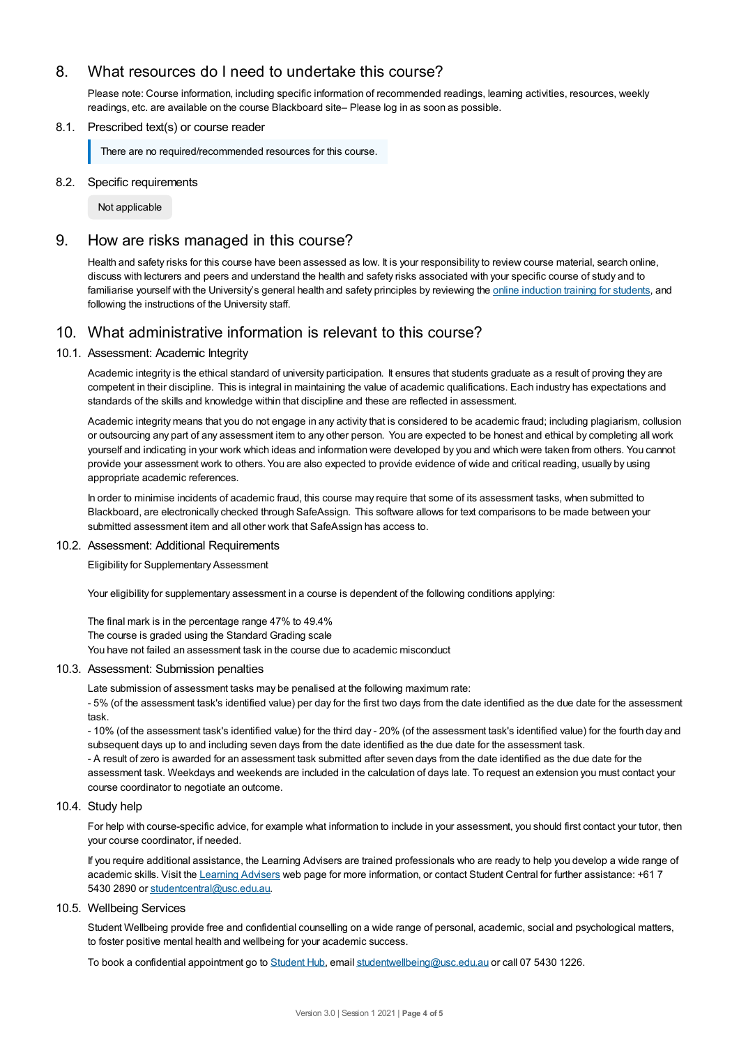## 8. What resources do I need to undertake this course?

Please note: Course information, including specific information of recommended readings, learning activities, resources, weekly readings, etc. are available on the course Blackboard site– Please log in as soon as possible.

## 8.1. Prescribed text(s) or course reader

There are no required/recommended resources for this course.

#### 8.2. Specific requirements

Not applicable

## 9. How are risks managed in this course?

Health and safety risks for this course have been assessed as low. It is your responsibility to review course material, search online, discuss with lecturers and peers and understand the health and safety risks associated with your specific course of study and to familiarise yourself with the University's general health and safety principles by reviewing the online [induction](https://online.usc.edu.au/webapps/blackboard/content/listContentEditable.jsp?content_id=_632657_1&course_id=_14432_1) training for students, and following the instructions of the University staff.

## 10. What administrative information is relevant to this course?

#### 10.1. Assessment: Academic Integrity

Academic integrity is the ethical standard of university participation. It ensures that students graduate as a result of proving they are competent in their discipline. This is integral in maintaining the value of academic qualifications. Each industry has expectations and standards of the skills and knowledge within that discipline and these are reflected in assessment.

Academic integrity means that you do not engage in any activity that is considered to be academic fraud; including plagiarism, collusion or outsourcing any part of any assessment item to any other person. You are expected to be honest and ethical by completing all work yourself and indicating in your work which ideas and information were developed by you and which were taken from others. You cannot provide your assessment work to others. You are also expected to provide evidence of wide and critical reading, usually by using appropriate academic references.

In order to minimise incidents of academic fraud, this course may require that some of its assessment tasks, when submitted to Blackboard, are electronically checked through SafeAssign. This software allows for text comparisons to be made between your submitted assessment item and all other work that SafeAssign has access to.

#### 10.2. Assessment: Additional Requirements

Eligibility for Supplementary Assessment

Your eligibility for supplementary assessment in a course is dependent of the following conditions applying:

The final mark is in the percentage range 47% to 49.4% The course is graded using the Standard Grading scale You have not failed an assessment task in the course due to academic misconduct

#### 10.3. Assessment: Submission penalties

Late submission of assessment tasks may be penalised at the following maximum rate:

- 5% (of the assessment task's identified value) per day for the first two days from the date identified as the due date for the assessment task.

- 10% (of the assessment task's identified value) for the third day - 20% (of the assessment task's identified value) for the fourth day and subsequent days up to and including seven days from the date identified as the due date for the assessment task.

- A result of zero is awarded for an assessment task submitted after seven days from the date identified as the due date for the assessment task. Weekdays and weekends are included in the calculation of days late. To request an extension you must contact your course coordinator to negotiate an outcome.

## 10.4. Study help

For help with course-specific advice, for example what information to include in your assessment, you should first contact your tutor, then your course coordinator, if needed.

If you require additional assistance, the Learning Advisers are trained professionals who are ready to help you develop a wide range of academic skills. Visit the [Learning](https://www.usc.edu.au/current-students/student-support/academic-and-study-support/learning-advisers) Advisers web page for more information, or contact Student Central for further assistance: +61 7 5430 2890 or [studentcentral@usc.edu.au](mailto:studentcentral@usc.edu.au).

#### 10.5. Wellbeing Services

Student Wellbeing provide free and confidential counselling on a wide range of personal, academic, social and psychological matters, to foster positive mental health and wellbeing for your academic success.

To book a confidential appointment go to [Student](https://studenthub.usc.edu.au/) Hub, email [studentwellbeing@usc.edu.au](mailto:studentwellbeing@usc.edu.au) or call 07 5430 1226.